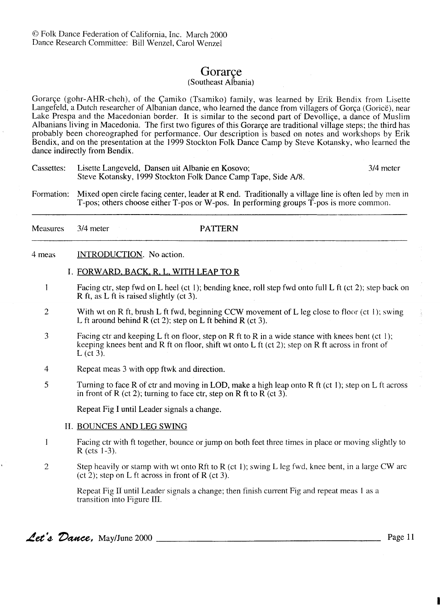# Gorarce

## (Southeast Albania)

Gorarçe (gohr-AHR-cheh), of the Çamiko (Tsamiko) family, was learned by Erik Bendix from Lisette Langefeld, a Dutch researcher of Albanian dance, who learned the dance from villagers of Gorça (Gorice), near Lake Prespa and the Macedonian border. It is similar to the second part of Devolliqe, a dance of Muslim Albanians living in Macedonia. The first two figures of this Gorarce are traditional village steps; the third has probably been choreographed for performance. Our description is based on notes and workshops by Erik Bendix, and on the presentation at the 1999 Stockton Folk Dance Camp by Steve Kotansky, who learned the dance indirectly from Bendix.

- Cassettes: Lisette Langeveld, Dansen uit Albanie en Kosovo; Steve Kotansky, 1999 Stockton Folk Dance Camp Tape, Side *A18.*  314 meter
- Formation: Mixed open circle facing center, leader at R end. Traditionally a village line is often led by men in T-pos; others choose either T-pos or W-pos. In performing groups T-pos is more common.

| <b>Measures</b> | $3/4$ meter | <b>PATTERN</b> |
|-----------------|-------------|----------------|
|                 |             |                |
|                 |             |                |

4 meas INTRODUCTION. No action.

#### I. FORWARD. BACK. R, L. WITH LEAP TO R

- I Facing ctr, step fwd on L heel (ct 1); bending knee, roll step fwd onto full L ft (ct 2); step back on R ft, as L ft is raised slightly (ct 3).
- 2 With wt on R ft, brush L ft fwd, beginning CCW movement of L leg close to floor (ct 1); swing L ft around behind R (ct 2); step on L ft behind R (ct 3).
- 3 Facing ctr and keeping L ft on floor, step on R ft to R in a wide stance with knees bent (ct 1); keeping knees bent and R ft on floor, shift wt onto L ft (ct 2); step on R ft across in front of  $L$  (ct 3).
- 4 Repeat meas 3 with opp ftwk and direction.
- *5* Turning to face R of ctr and moving in LOD, make a high leap onto R ft (ct 1); step on L ft across in front of R (ct 2); turning to face ctr, step on R ft to R (ct 3).

Repeat Fig I until Leader signals a change.

## 11. BOUNCES AND LEG SWING

- I Facing ctr with ft together, bounce or jump on both feet three times in place or moving slightly to R (cts 1-3).
- 2 Step heavily or stamp with wt onto Rft to R (ct 1); swing L leg fwd, knee bent, in a large CW arc (ct 2); step on L ft across in front of R (ct 3).

Repeat Fig I1 until Leader signals a change; then finish current Fig and repeat meas I as a transition into Figure 111.